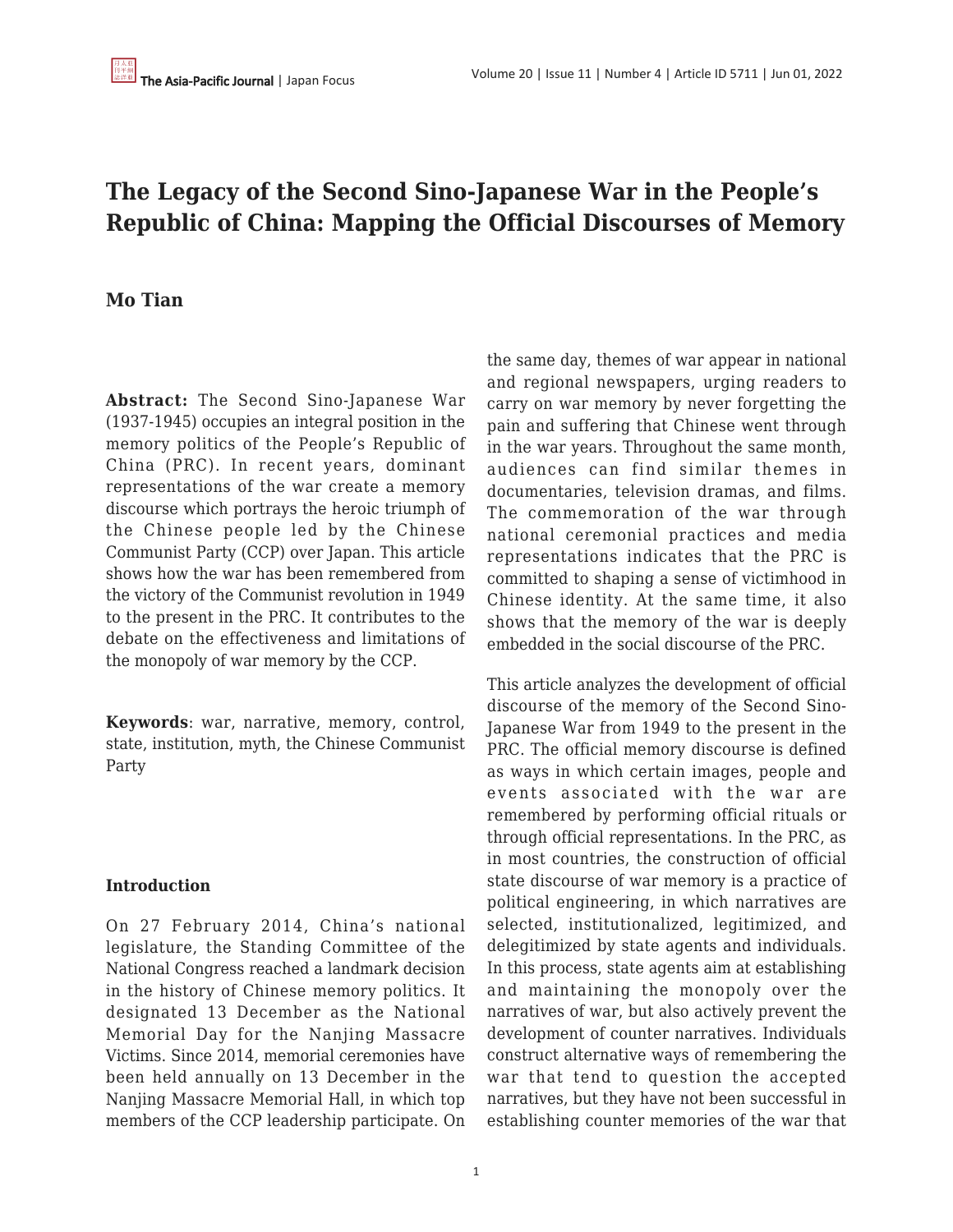## **The Legacy of the Second Sino-Japanese War in the People's Republic of China: Mapping the Official Discourses of Memory**

## **Mo Tian**

**Abstract:** The Second Sino-Japanese War (1937-1945) occupies an integral position in the memory politics of the People's Republic of China (PRC). In recent years, dominant representations of the war create a memory discourse which portrays the heroic triumph of the Chinese people led by the Chinese Communist Party (CCP) over Japan. This article shows how the war has been remembered from the victory of the Communist revolution in 1949 to the present in the PRC. It contributes to the debate on the effectiveness and limitations of the monopoly of war memory by the CCP.

**Keywords**: war, narrative, memory, control, state, institution, myth, the Chinese Communist Party

#### **Introduction**

On 27 February 2014, China's national legislature, the Standing Committee of the National Congress reached a landmark decision in the history of Chinese memory politics. It designated 13 December as the National Memorial Day for the Nanjing Massacre Victims. Since 2014, memorial ceremonies have been held annually on 13 December in the Nanjing Massacre Memorial Hall, in which top members of the CCP leadership participate. On the same day, themes of war appear in national and regional newspapers, urging readers to carry on war memory by never forgetting the pain and suffering that Chinese went through in the war years. Throughout the same month, audiences can find similar themes in documentaries, television dramas, and films. The commemoration of the war through national ceremonial practices and media representations indicates that the PRC is committed to shaping a sense of victimhood in Chinese identity. At the same time, it also shows that the memory of the war is deeply embedded in the social discourse of the PRC.

This article analyzes the development of official discourse of the memory of the Second Sino-Japanese War from 1949 to the present in the PRC. The official memory discourse is defined as ways in which certain images, people and events associated with the war are remembered by performing official rituals or through official representations. In the PRC, as in most countries, the construction of official state discourse of war memory is a practice of political engineering, in which narratives are selected, institutionalized, legitimized, and delegitimized by state agents and individuals. In this process, state agents aim at establishing and maintaining the monopoly over the narratives of war, but also actively prevent the development of counter narratives. Individuals construct alternative ways of remembering the war that tend to question the accepted narratives, but they have not been successful in establishing counter memories of the war that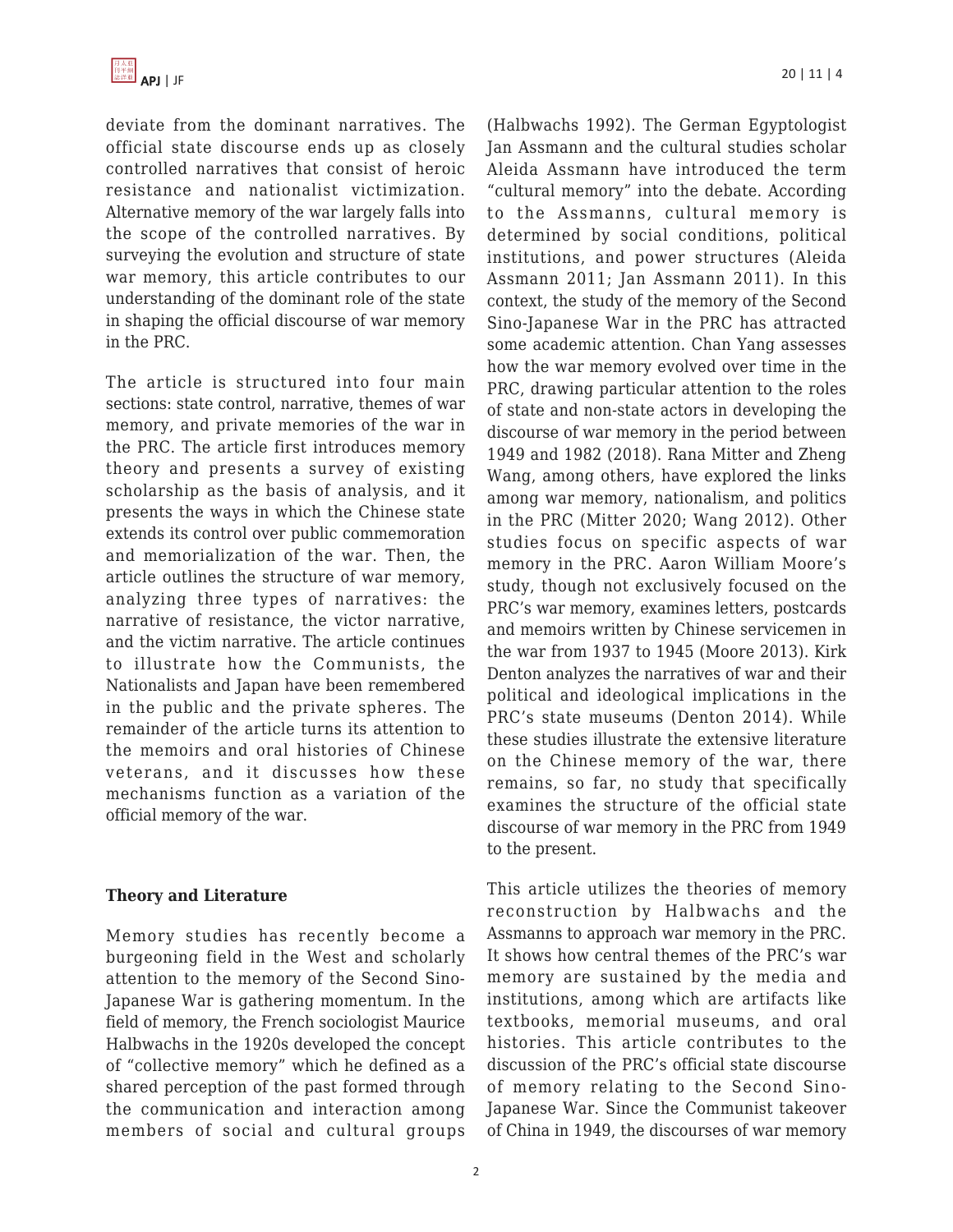

deviate from the dominant narratives. The official state discourse ends up as closely controlled narratives that consist of heroic resistance and nationalist victimization. Alternative memory of the war largely falls into the scope of the controlled narratives. By surveying the evolution and structure of state war memory, this article contributes to our understanding of the dominant role of the state in shaping the official discourse of war memory in the PRC.

The article is structured into four main sections: state control, narrative, themes of war memory, and private memories of the war in the PRC. The article first introduces memory theory and presents a survey of existing scholarship as the basis of analysis, and it presents the ways in which the Chinese state extends its control over public commemoration and memorialization of the war. Then, the article outlines the structure of war memory, analyzing three types of narratives: the narrative of resistance, the victor narrative, and the victim narrative. The article continues to illustrate how the Communists, the Nationalists and Japan have been remembered in the public and the private spheres. The remainder of the article turns its attention to the memoirs and oral histories of Chinese veterans, and it discusses how these mechanisms function as a variation of the official memory of the war.

#### **Theory and Literature**

Memory studies has recently become a burgeoning field in the West and scholarly attention to the memory of the Second Sino-Japanese War is gathering momentum. In the field of memory, the French sociologist Maurice Halbwachs in the 1920s developed the concept of "collective memory" which he defined as a shared perception of the past formed through the communication and interaction among members of social and cultural groups (Halbwachs 1992). The German Egyptologist Jan Assmann and the cultural studies scholar Aleida Assmann have introduced the term "cultural memory" into the debate. According to the Assmanns, cultural memory is determined by social conditions, political institutions, and power structures (Aleida Assmann 2011; Jan Assmann 2011). In this context, the study of the memory of the Second Sino-Japanese War in the PRC has attracted some academic attention. Chan Yang assesses how the war memory evolved over time in the PRC, drawing particular attention to the roles of state and non-state actors in developing the discourse of war memory in the period between 1949 and 1982 (2018). Rana Mitter and Zheng Wang, among others, have explored the links among war memory, nationalism, and politics in the PRC (Mitter 2020; Wang 2012). Other studies focus on specific aspects of war memory in the PRC. Aaron William Moore's study, though not exclusively focused on the PRC's war memory, examines letters, postcards and memoirs written by Chinese servicemen in the war from 1937 to 1945 (Moore 2013). Kirk Denton analyzes the narratives of war and their political and ideological implications in the PRC's state museums (Denton 2014). While these studies illustrate the extensive literature on the Chinese memory of the war, there remains, so far, no study that specifically examines the structure of the official state discourse of war memory in the PRC from 1949 to the present.

This article utilizes the theories of memory reconstruction by Halbwachs and the Assmanns to approach war memory in the PRC. It shows how central themes of the PRC's war memory are sustained by the media and institutions, among which are artifacts like textbooks, memorial museums, and oral histories. This article contributes to the discussion of the PRC's official state discourse of memory relating to the Second Sino-Japanese War. Since the Communist takeover of China in 1949, the discourses of war memory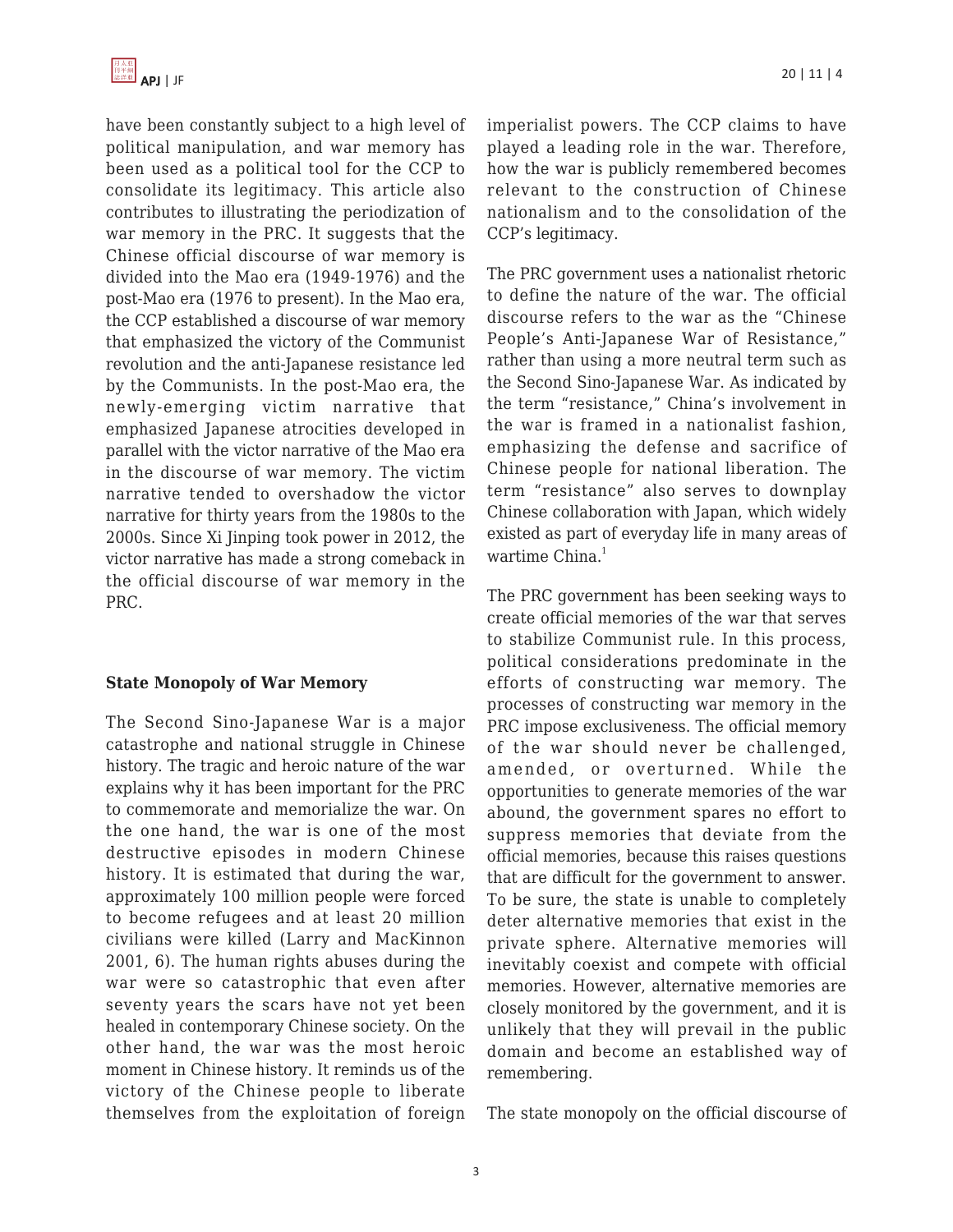

have been constantly subject to a high level of political manipulation, and war memory has been used as a political tool for the CCP to consolidate its legitimacy. This article also contributes to illustrating the periodization of war memory in the PRC. It suggests that the Chinese official discourse of war memory is divided into the Mao era (1949-1976) and the post-Mao era (1976 to present). In the Mao era, the CCP established a discourse of war memory that emphasized the victory of the Communist revolution and the anti-Japanese resistance led by the Communists. In the post-Mao era, the newly-emerging victim narrative that emphasized Japanese atrocities developed in parallel with the victor narrative of the Mao era in the discourse of war memory. The victim narrative tended to overshadow the victor narrative for thirty years from the 1980s to the 2000s. Since Xi Jinping took power in 2012, the victor narrative has made a strong comeback in the official discourse of war memory in the PRC.

#### **State Monopoly of War Memory**

The Second Sino-Japanese War is a major catastrophe and national struggle in Chinese history. The tragic and heroic nature of the war explains why it has been important for the PRC to commemorate and memorialize the war. On the one hand, the war is one of the most destructive episodes in modern Chinese history. It is estimated that during the war, approximately 100 million people were forced to become refugees and at least 20 million civilians were killed (Larry and MacKinnon 2001, 6). The human rights abuses during the war were so catastrophic that even after seventy years the scars have not yet been healed in contemporary Chinese society. On the other hand, the war was the most heroic moment in Chinese history. It reminds us of the victory of the Chinese people to liberate themselves from the exploitation of foreign imperialist powers. The CCP claims to have played a leading role in the war. Therefore, how the war is publicly remembered becomes relevant to the construction of Chinese nationalism and to the consolidation of the CCP's legitimacy.

The PRC government uses a nationalist rhetoric to define the nature of the war. The official discourse refers to the war as the "Chinese People's Anti-Japanese War of Resistance," rather than using a more neutral term such as the Second Sino-Japanese War. As indicated by the term "resistance," China's involvement in the war is framed in a nationalist fashion, emphasizing the defense and sacrifice of Chinese people for national liberation. The term "resistance" also serves to downplay Chinese collaboration with Japan, which widely existed as part of everyday life in many areas of wartime China.<sup>1</sup>

The PRC government has been seeking ways to create official memories of the war that serves to stabilize Communist rule. In this process, political considerations predominate in the efforts of constructing war memory. The processes of constructing war memory in the PRC impose exclusiveness. The official memory of the war should never be challenged, amended, or overturned. While the opportunities to generate memories of the war abound, the government spares no effort to suppress memories that deviate from the official memories, because this raises questions that are difficult for the government to answer. To be sure, the state is unable to completely deter alternative memories that exist in the private sphere. Alternative memories will inevitably coexist and compete with official memories. However, alternative memories are closely monitored by the government, and it is unlikely that they will prevail in the public domain and become an established way of remembering.

The state monopoly on the official discourse of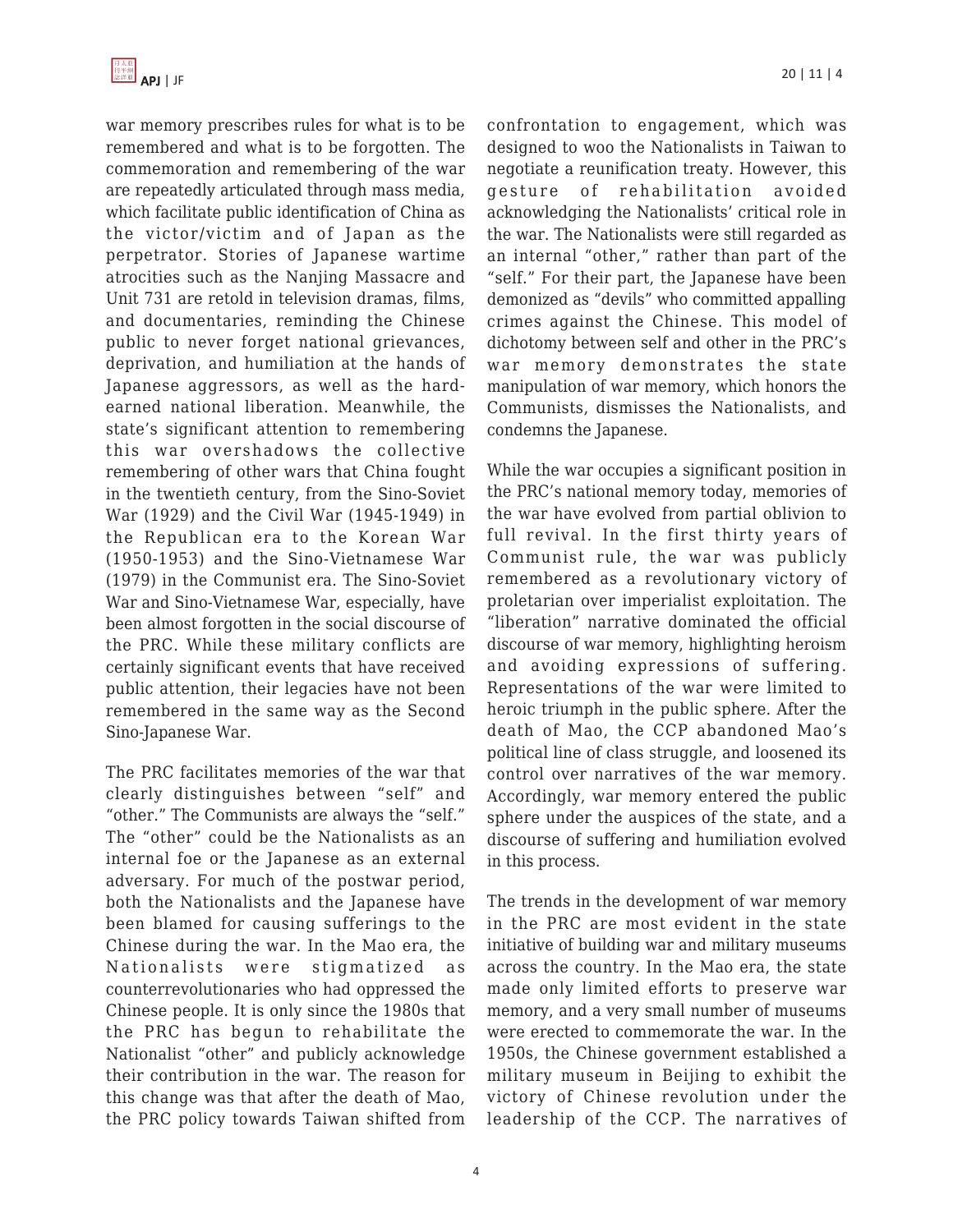war memory prescribes rules for what is to be remembered and what is to be forgotten. The commemoration and remembering of the war are repeatedly articulated through mass media, which facilitate public identification of China as the victor/victim and of Japan as the perpetrator. Stories of Japanese wartime atrocities such as the Nanjing Massacre and Unit 731 are retold in television dramas, films, and documentaries, reminding the Chinese public to never forget national grievances, deprivation, and humiliation at the hands of Japanese aggressors, as well as the hardearned national liberation. Meanwhile, the state's significant attention to remembering this war overshadows the collective remembering of other wars that China fought in the twentieth century, from the Sino-Soviet War (1929) and the Civil War (1945-1949) in the Republican era to the Korean War (1950-1953) and the Sino-Vietnamese War (1979) in the Communist era. The Sino-Soviet War and Sino-Vietnamese War, especially, have been almost forgotten in the social discourse of the PRC. While these military conflicts are certainly significant events that have received public attention, their legacies have not been remembered in the same way as the Second Sino-Japanese War.

The PRC facilitates memories of the war that clearly distinguishes between "self" and "other." The Communists are always the "self." The "other" could be the Nationalists as an internal foe or the Japanese as an external adversary. For much of the postwar period, both the Nationalists and the Japanese have been blamed for causing sufferings to the Chinese during the war. In the Mao era, the Nationalists were stigmatized as counterrevolutionaries who had oppressed the Chinese people. It is only since the 1980s that the PRC has begun to rehabilitate the Nationalist "other" and publicly acknowledge their contribution in the war. The reason for this change was that after the death of Mao, the PRC policy towards Taiwan shifted from confrontation to engagement, which was designed to woo the Nationalists in Taiwan to negotiate a reunification treaty. However, this gesture of rehabilitation avoided acknowledging the Nationalists' critical role in the war. The Nationalists were still regarded as an internal "other," rather than part of the "self." For their part, the Japanese have been demonized as "devils" who committed appalling crimes against the Chinese. This model of dichotomy between self and other in the PRC's war memory demonstrates the state manipulation of war memory, which honors the Communists, dismisses the Nationalists, and condemns the Japanese.

While the war occupies a significant position in the PRC's national memory today, memories of the war have evolved from partial oblivion to full revival. In the first thirty years of Communist rule, the war was publicly remembered as a revolutionary victory of proletarian over imperialist exploitation. The "liberation" narrative dominated the official discourse of war memory, highlighting heroism and avoiding expressions of suffering. Representations of the war were limited to heroic triumph in the public sphere. After the death of Mao, the CCP abandoned Mao's political line of class struggle, and loosened its control over narratives of the war memory. Accordingly, war memory entered the public sphere under the auspices of the state, and a discourse of suffering and humiliation evolved in this process.

The trends in the development of war memory in the PRC are most evident in the state initiative of building war and military museums across the country. In the Mao era, the state made only limited efforts to preserve war memory, and a very small number of museums were erected to commemorate the war. In the 1950s, the Chinese government established a military museum in Beijing to exhibit the victory of Chinese revolution under the leadership of the CCP. The narratives of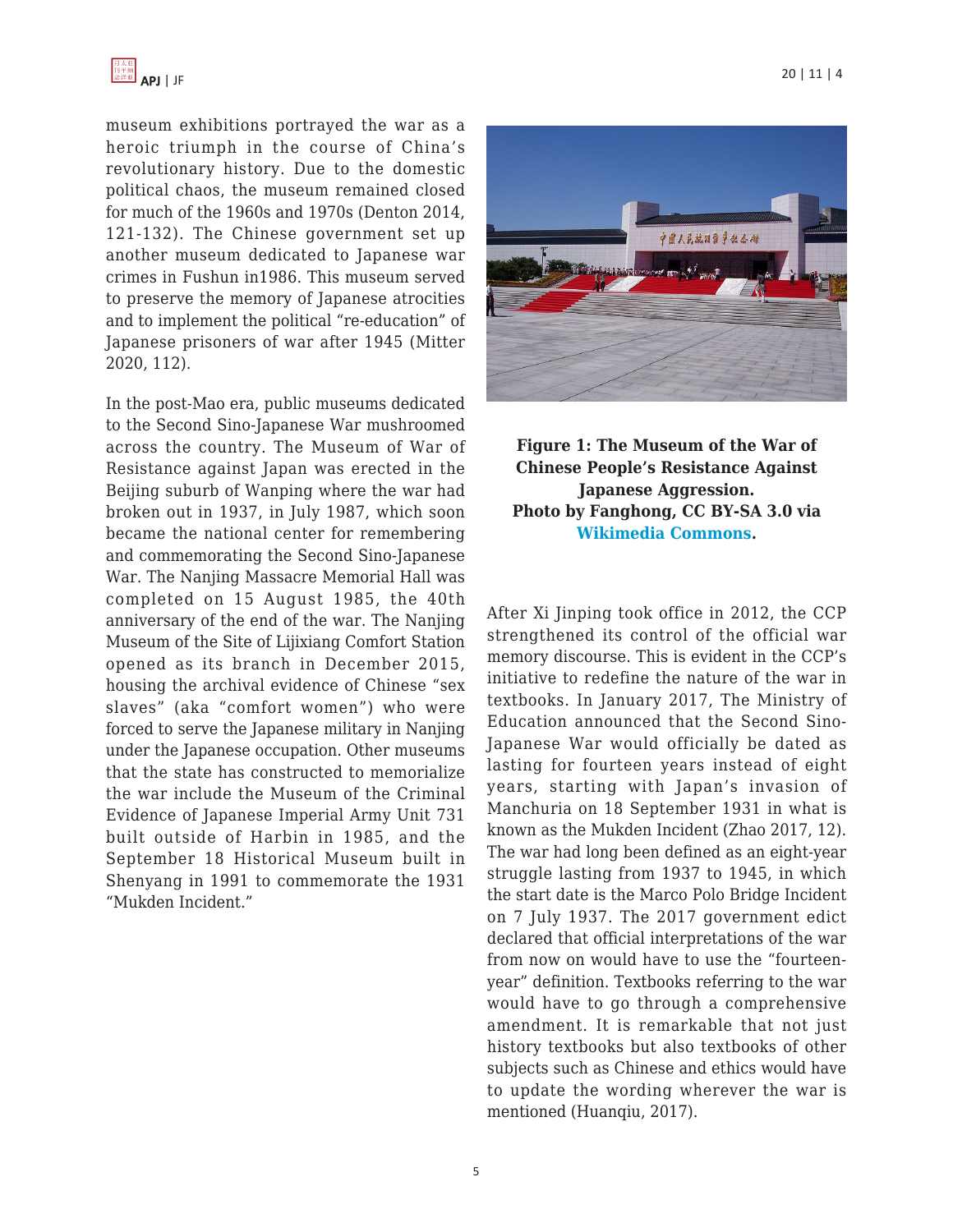museum exhibitions portrayed the war as a heroic triumph in the course of China's revolutionary history. Due to the domestic political chaos, the museum remained closed for much of the 1960s and 1970s (Denton 2014, 121-132). The Chinese government set up another museum dedicated to Japanese war crimes in Fushun in1986. This museum served to preserve the memory of Japanese atrocities and to implement the political "re-education" of Japanese prisoners of war after 1945 (Mitter 2020, 112).

In the post-Mao era, public museums dedicated to the Second Sino-Japanese War mushroomed across the country. The Museum of War of Resistance against Japan was erected in the Beijing suburb of Wanping where the war had broken out in 1937, in July 1987, which soon became the national center for remembering and commemorating the Second Sino-Japanese War. The Nanjing Massacre Memorial Hall was completed on 15 August 1985, the 40th anniversary of the end of the war. The Nanjing Museum of the Site of Lijixiang Comfort Station opened as its branch in December 2015, housing the archival evidence of Chinese "sex slaves" (aka "comfort women") who were forced to serve the Japanese military in Nanjing under the Japanese occupation. Other museums that the state has constructed to memorialize the war include the Museum of the Criminal Evidence of Japanese Imperial Army Unit 731 built outside of Harbin in 1985, and the September 18 Historical Museum built in Shenyang in 1991 to commemorate the 1931 "Mukden Incident."



**Figure 1: The Museum of the War of Chinese People's Resistance Against Japanese Aggression. Photo by Fanghong, CC BY-SA 3.0 via [Wikimedia Commons](https://commons.wikimedia.org/wiki/File:AntijapaneseWarMemorialMuseum.jpg).**

After Xi Jinping took office in 2012, the CCP strengthened its control of the official war memory discourse. This is evident in the CCP's initiative to redefine the nature of the war in textbooks. In January 2017, The Ministry of Education announced that the Second Sino-Japanese War would officially be dated as lasting for fourteen years instead of eight years, starting with Japan's invasion of Manchuria on 18 September 1931 in what is known as the Mukden Incident (Zhao 2017, 12). The war had long been defined as an eight-year struggle lasting from 1937 to 1945, in which the start date is the Marco Polo Bridge Incident on 7 July 1937. The 2017 government edict declared that official interpretations of the war from now on would have to use the "fourteenyear" definition. Textbooks referring to the war would have to go through a comprehensive amendment. It is remarkable that not just history textbooks but also textbooks of other subjects such as Chinese and ethics would have to update the wording wherever the war is mentioned (Huanqiu, 2017).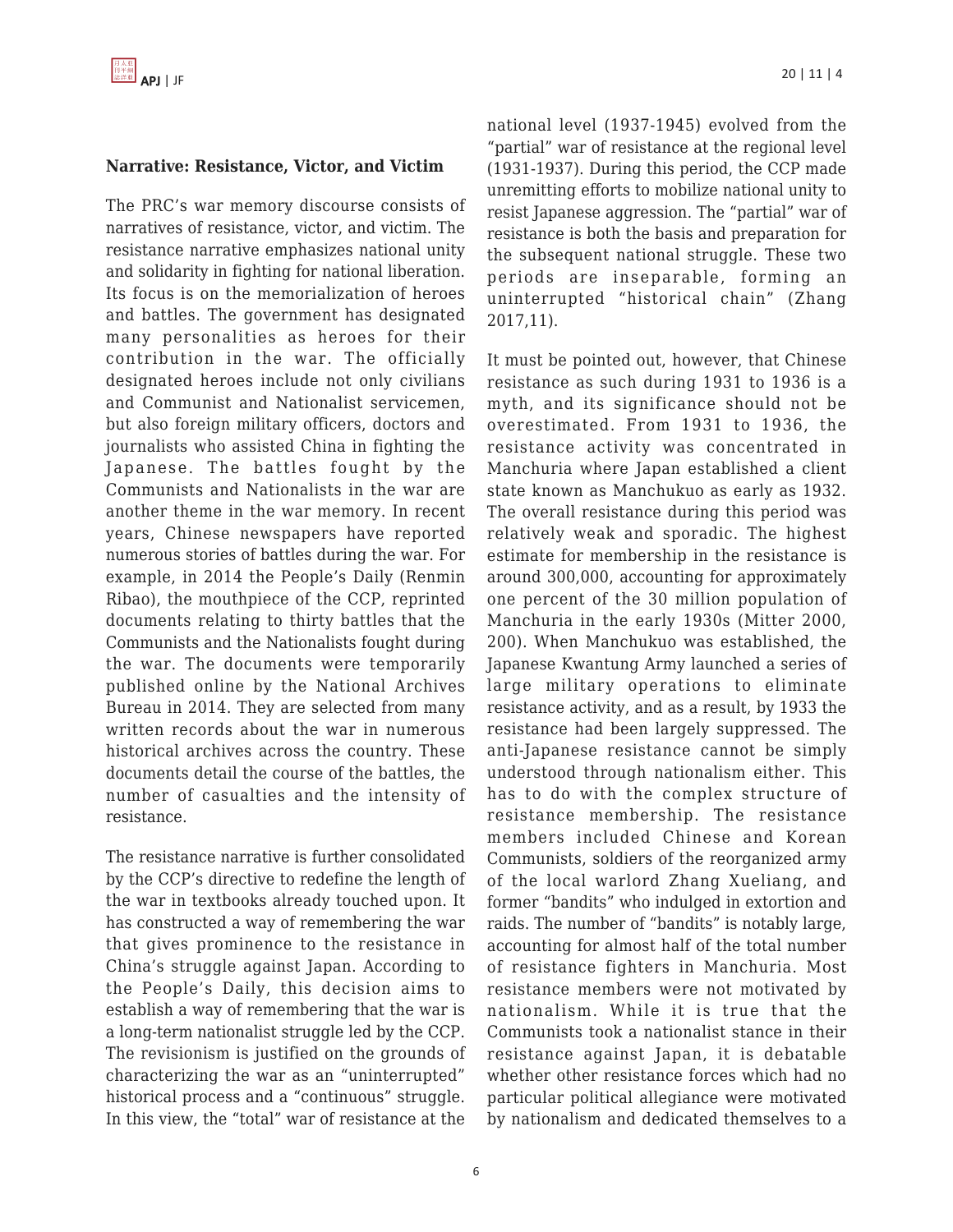## **Narrative: Resistance, Victor, and Victim**

The PRC's war memory discourse consists of narratives of resistance, victor, and victim. The resistance narrative emphasizes national unity and solidarity in fighting for national liberation. Its focus is on the memorialization of heroes and battles. The government has designated many personalities as heroes for their contribution in the war. The officially designated heroes include not only civilians and Communist and Nationalist servicemen, but also foreign military officers, doctors and journalists who assisted China in fighting the Japanese. The battles fought by the Communists and Nationalists in the war are another theme in the war memory. In recent years, Chinese newspapers have reported numerous stories of battles during the war. For example, in 2014 the People's Daily (Renmin Ribao), the mouthpiece of the CCP, reprinted documents relating to thirty battles that the Communists and the Nationalists fought during the war. The documents were temporarily published online by the National Archives Bureau in 2014. They are selected from many written records about the war in numerous historical archives across the country. These documents detail the course of the battles, the number of casualties and the intensity of resistance.

The resistance narrative is further consolidated by the CCP's directive to redefine the length of the war in textbooks already touched upon. It has constructed a way of remembering the war that gives prominence to the resistance in China's struggle against Japan. According to the People's Daily, this decision aims to establish a way of remembering that the war is a long-term nationalist struggle led by the CCP. The revisionism is justified on the grounds of characterizing the war as an "uninterrupted" historical process and a "continuous" struggle. In this view, the "total" war of resistance at the national level (1937-1945) evolved from the "partial" war of resistance at the regional level (1931-1937). During this period, the CCP made unremitting efforts to mobilize national unity to resist Japanese aggression. The "partial" war of resistance is both the basis and preparation for the subsequent national struggle. These two periods are inseparable, forming an uninterrupted "historical chain" (Zhang 2017,11).

It must be pointed out, however, that Chinese resistance as such during 1931 to 1936 is a myth, and its significance should not be overestimated. From 1931 to 1936, the resistance activity was concentrated in Manchuria where Japan established a client state known as Manchukuo as early as 1932. The overall resistance during this period was relatively weak and sporadic. The highest estimate for membership in the resistance is around 300,000, accounting for approximately one percent of the 30 million population of Manchuria in the early 1930s (Mitter 2000, 200). When Manchukuo was established, the Japanese Kwantung Army launched a series of large military operations to eliminate resistance activity, and as a result, by 1933 the resistance had been largely suppressed. The anti-Japanese resistance cannot be simply understood through nationalism either. This has to do with the complex structure of resistance membership. The resistance members included Chinese and Korean Communists, soldiers of the reorganized army of the local warlord Zhang Xueliang, and former "bandits" who indulged in extortion and raids. The number of "bandits" is notably large, accounting for almost half of the total number of resistance fighters in Manchuria. Most resistance members were not motivated by nationalism. While it is true that the Communists took a nationalist stance in their resistance against Japan, it is debatable whether other resistance forces which had no particular political allegiance were motivated by nationalism and dedicated themselves to a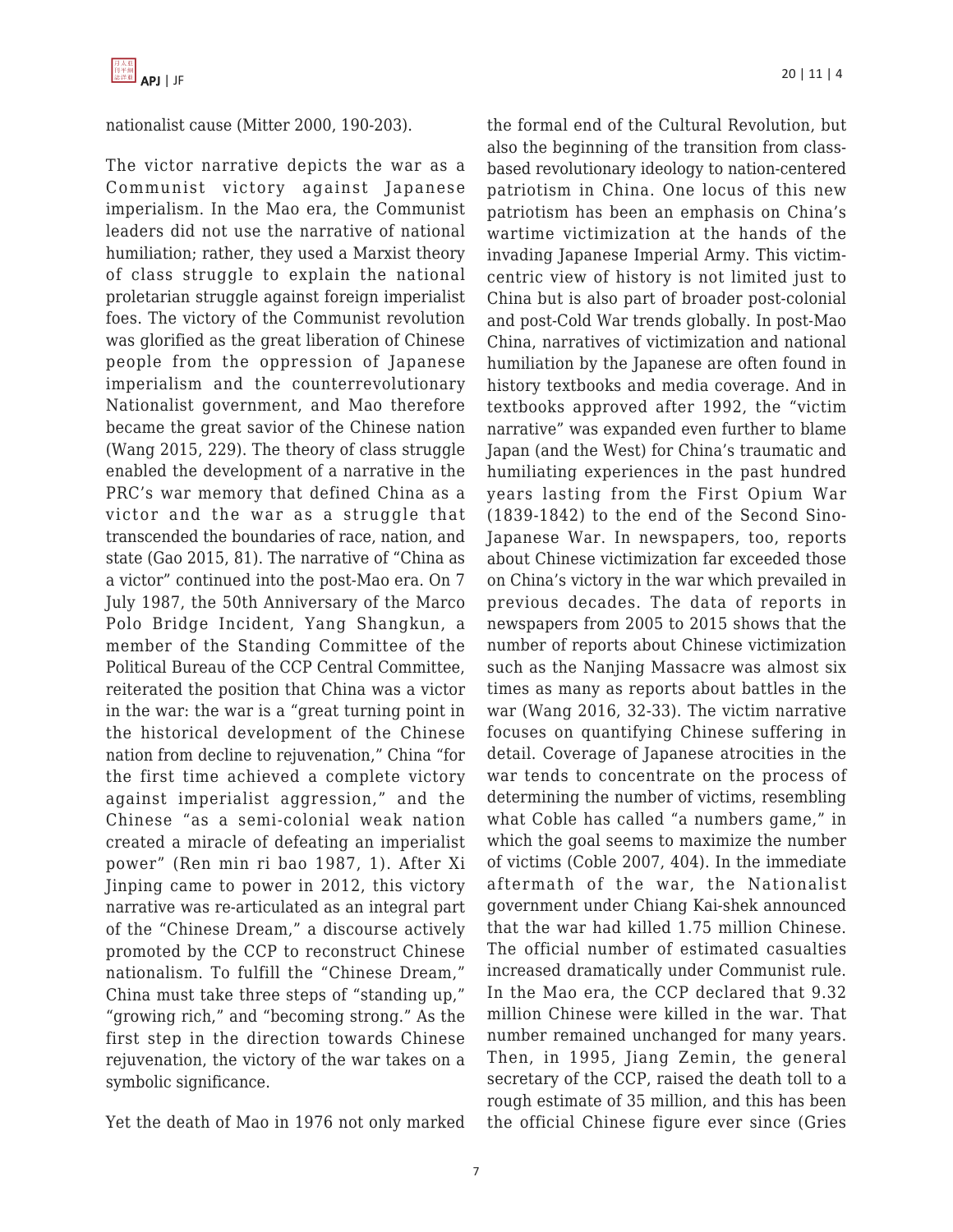

nationalist cause (Mitter 2000, 190-203).

The victor narrative depicts the war as a Communist victory against Japanese imperialism. In the Mao era, the Communist leaders did not use the narrative of national humiliation; rather, they used a Marxist theory of class struggle to explain the national proletarian struggle against foreign imperialist foes. The victory of the Communist revolution was glorified as the great liberation of Chinese people from the oppression of Japanese imperialism and the counterrevolutionary Nationalist government, and Mao therefore became the great savior of the Chinese nation (Wang 2015, 229). The theory of class struggle enabled the development of a narrative in the PRC's war memory that defined China as a victor and the war as a struggle that transcended the boundaries of race, nation, and state (Gao 2015, 81). The narrative of "China as a victor" continued into the post-Mao era. On 7 July 1987, the 50th Anniversary of the Marco Polo Bridge Incident, Yang Shangkun, a member of the Standing Committee of the Political Bureau of the CCP Central Committee, reiterated the position that China was a victor in the war: the war is a "great turning point in the historical development of the Chinese nation from decline to rejuvenation," China "for the first time achieved a complete victory against imperialist aggression," and the Chinese "as a semi-colonial weak nation created a miracle of defeating an imperialist power" (Ren min ri bao 1987, 1). After Xi Jinping came to power in 2012, this victory narrative was re-articulated as an integral part of the "Chinese Dream," a discourse actively promoted by the CCP to reconstruct Chinese nationalism. To fulfill the "Chinese Dream," China must take three steps of "standing up," "growing rich," and "becoming strong." As the first step in the direction towards Chinese rejuvenation, the victory of the war takes on a symbolic significance.

Yet the death of Mao in 1976 not only marked

the formal end of the Cultural Revolution, but also the beginning of the transition from classbased revolutionary ideology to nation-centered patriotism in China. One locus of this new patriotism has been an emphasis on China's wartime victimization at the hands of the invading Japanese Imperial Army. This victimcentric view of history is not limited just to China but is also part of broader post-colonial and post-Cold War trends globally. In post-Mao China, narratives of victimization and national humiliation by the Japanese are often found in history textbooks and media coverage. And in textbooks approved after 1992, the "victim narrative" was expanded even further to blame Japan (and the West) for China's traumatic and humiliating experiences in the past hundred years lasting from the First Opium War (1839-1842) to the end of the Second Sino-Japanese War. In newspapers, too, reports about Chinese victimization far exceeded those on China's victory in the war which prevailed in previous decades. The data of reports in newspapers from 2005 to 2015 shows that the number of reports about Chinese victimization such as the Nanjing Massacre was almost six times as many as reports about battles in the war (Wang 2016, 32-33). The victim narrative focuses on quantifying Chinese suffering in detail. Coverage of Japanese atrocities in the war tends to concentrate on the process of determining the number of victims, resembling what Coble has called "a numbers game," in which the goal seems to maximize the number of victims (Coble 2007, 404). In the immediate aftermath of the war, the Nationalist government under Chiang Kai-shek announced that the war had killed 1.75 million Chinese. The official number of estimated casualties increased dramatically under Communist rule. In the Mao era, the CCP declared that 9.32 million Chinese were killed in the war. That number remained unchanged for many years. Then, in 1995, Jiang Zemin, the general secretary of the CCP, raised the death toll to a rough estimate of 35 million, and this has been the official Chinese figure ever since (Gries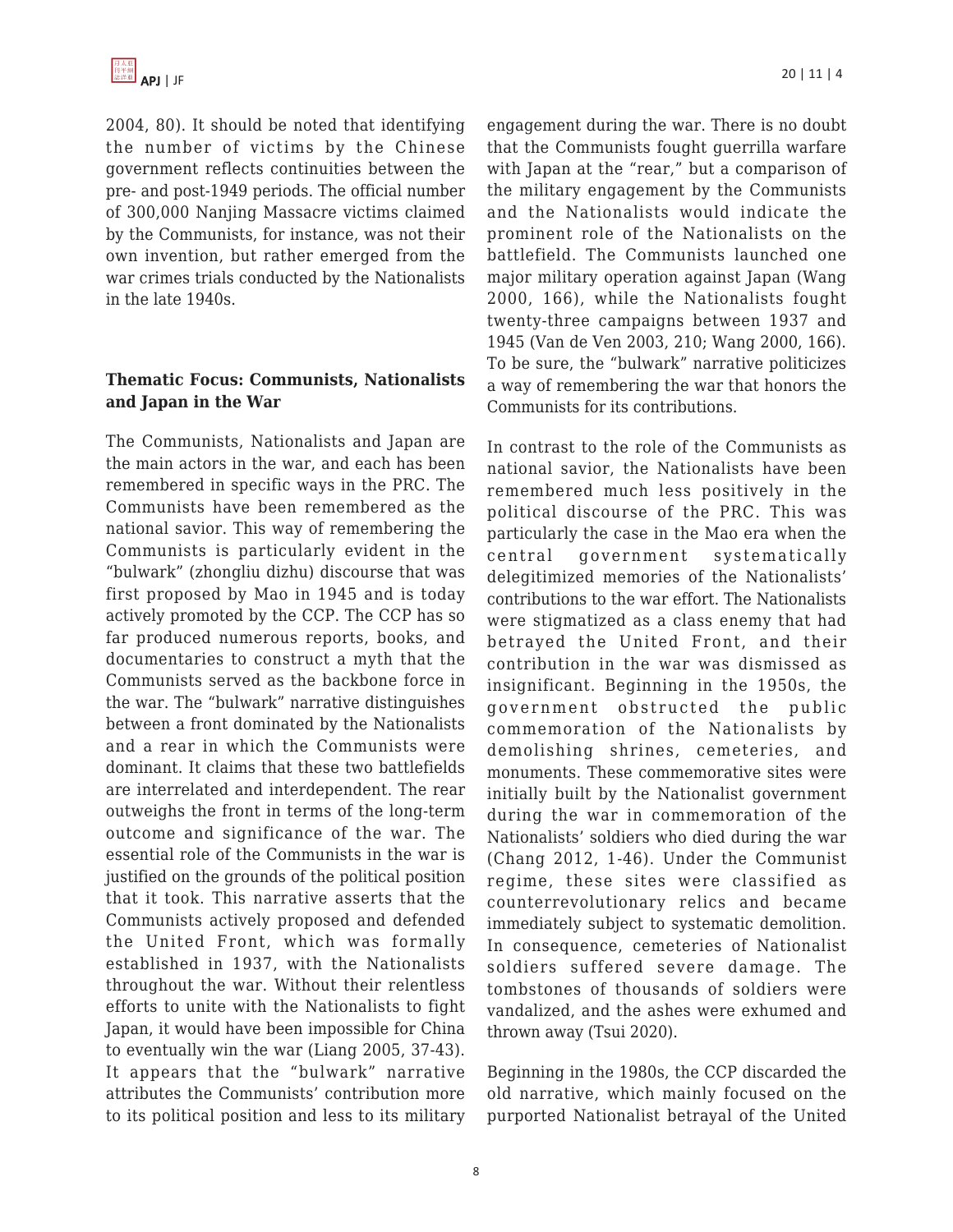2004, 80). It should be noted that identifying the number of victims by the Chinese government reflects continuities between the pre- and post-1949 periods. The official number of 300,000 Nanjing Massacre victims claimed by the Communists, for instance, was not their own invention, but rather emerged from the war crimes trials conducted by the Nationalists in the late 1940s.

## **Thematic Focus: Communists, Nationalists and Japan in the War**

The Communists, Nationalists and Japan are the main actors in the war, and each has been remembered in specific ways in the PRC. The Communists have been remembered as the national savior. This way of remembering the Communists is particularly evident in the "bulwark" (zhongliu dizhu) discourse that was first proposed by Mao in 1945 and is today actively promoted by the CCP. The CCP has so far produced numerous reports, books, and documentaries to construct a myth that the Communists served as the backbone force in the war. The "bulwark" narrative distinguishes between a front dominated by the Nationalists and a rear in which the Communists were dominant. It claims that these two battlefields are interrelated and interdependent. The rear outweighs the front in terms of the long-term outcome and significance of the war. The essential role of the Communists in the war is justified on the grounds of the political position that it took. This narrative asserts that the Communists actively proposed and defended the United Front, which was formally established in 1937, with the Nationalists throughout the war. Without their relentless efforts to unite with the Nationalists to fight Japan, it would have been impossible for China to eventually win the war (Liang 2005, 37-43). It appears that the "bulwark" narrative attributes the Communists' contribution more to its political position and less to its military engagement during the war. There is no doubt that the Communists fought guerrilla warfare with Japan at the "rear," but a comparison of the military engagement by the Communists and the Nationalists would indicate the prominent role of the Nationalists on the battlefield. The Communists launched one major military operation against Japan (Wang 2000, 166), while the Nationalists fought twenty-three campaigns between 1937 and 1945 (Van de Ven 2003, 210; Wang 2000, 166). To be sure, the "bulwark" narrative politicizes a way of remembering the war that honors the Communists for its contributions.

In contrast to the role of the Communists as national savior, the Nationalists have been remembered much less positively in the political discourse of the PRC. This was particularly the case in the Mao era when the central government systematically delegitimized memories of the Nationalists' contributions to the war effort. The Nationalists were stigmatized as a class enemy that had betrayed the United Front, and their contribution in the war was dismissed as insignificant. Beginning in the 1950s, the government obstructed the public commemoration of the Nationalists by demolishing shrines, cemeteries, and monuments. These commemorative sites were initially built by the Nationalist government during the war in commemoration of the Nationalists' soldiers who died during the war (Chang 2012, 1-46). Under the Communist regime, these sites were classified as counterrevolutionary relics and became immediately subject to systematic demolition. In consequence, cemeteries of Nationalist soldiers suffered severe damage. The tombstones of thousands of soldiers were vandalized, and the ashes were exhumed and thrown away (Tsui 2020).

Beginning in the 1980s, the CCP discarded the old narrative, which mainly focused on the purported Nationalist betrayal of the United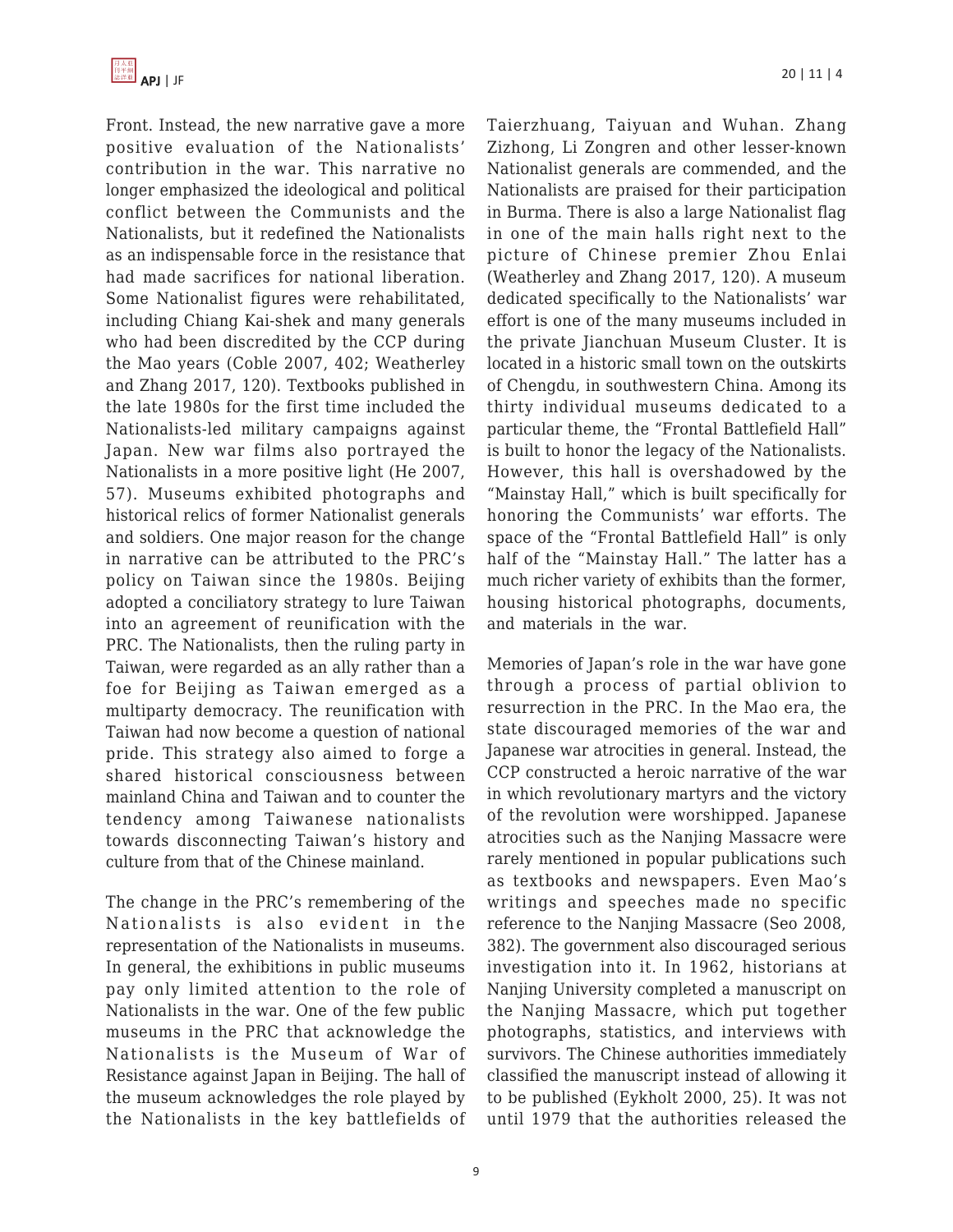Front. Instead, the new narrative gave a more positive evaluation of the Nationalists' contribution in the war. This narrative no longer emphasized the ideological and political conflict between the Communists and the Nationalists, but it redefined the Nationalists as an indispensable force in the resistance that had made sacrifices for national liberation. Some Nationalist figures were rehabilitated, including Chiang Kai-shek and many generals who had been discredited by the CCP during the Mao years (Coble 2007, 402; Weatherley and Zhang 2017, 120). Textbooks published in the late 1980s for the first time included the Nationalists-led military campaigns against Japan. New war films also portrayed the Nationalists in a more positive light (He 2007, 57). Museums exhibited photographs and historical relics of former Nationalist generals and soldiers. One major reason for the change in narrative can be attributed to the PRC's policy on Taiwan since the 1980s. Beijing adopted a conciliatory strategy to lure Taiwan into an agreement of reunification with the PRC. The Nationalists, then the ruling party in Taiwan, were regarded as an ally rather than a foe for Beijing as Taiwan emerged as a multiparty democracy. The reunification with Taiwan had now become a question of national pride. This strategy also aimed to forge a shared historical consciousness between mainland China and Taiwan and to counter the tendency among Taiwanese nationalists towards disconnecting Taiwan's history and culture from that of the Chinese mainland.

The change in the PRC's remembering of the Nationalists is also evident in the representation of the Nationalists in museums. In general, the exhibitions in public museums pay only limited attention to the role of Nationalists in the war. One of the few public museums in the PRC that acknowledge the Nationalists is the Museum of War of Resistance against Japan in Beijing. The hall of the museum acknowledges the role played by the Nationalists in the key battlefields of Taierzhuang, Taiyuan and Wuhan. Zhang Zizhong, Li Zongren and other lesser-known Nationalist generals are commended, and the Nationalists are praised for their participation in Burma. There is also a large Nationalist flag in one of the main halls right next to the picture of Chinese premier Zhou Enlai (Weatherley and Zhang 2017, 120). A museum dedicated specifically to the Nationalists' war effort is one of the many museums included in the private Jianchuan Museum Cluster. It is located in a historic small town on the outskirts of Chengdu, in southwestern China. Among its thirty individual museums dedicated to a particular theme, the "Frontal Battlefield Hall" is built to honor the legacy of the Nationalists. However, this hall is overshadowed by the "Mainstay Hall," which is built specifically for honoring the Communists' war efforts. The space of the "Frontal Battlefield Hall" is only half of the "Mainstay Hall." The latter has a much richer variety of exhibits than the former, housing historical photographs, documents, and materials in the war.

Memories of Japan's role in the war have gone through a process of partial oblivion to resurrection in the PRC. In the Mao era, the state discouraged memories of the war and Japanese war atrocities in general. Instead, the CCP constructed a heroic narrative of the war in which revolutionary martyrs and the victory of the revolution were worshipped. Japanese atrocities such as the Nanjing Massacre were rarely mentioned in popular publications such as textbooks and newspapers. Even Mao's writings and speeches made no specific reference to the Nanjing Massacre (Seo 2008, 382). The government also discouraged serious investigation into it. In 1962, historians at Nanjing University completed a manuscript on the Nanjing Massacre, which put together photographs, statistics, and interviews with survivors. The Chinese authorities immediately classified the manuscript instead of allowing it to be published (Eykholt 2000, 25). It was not until 1979 that the authorities released the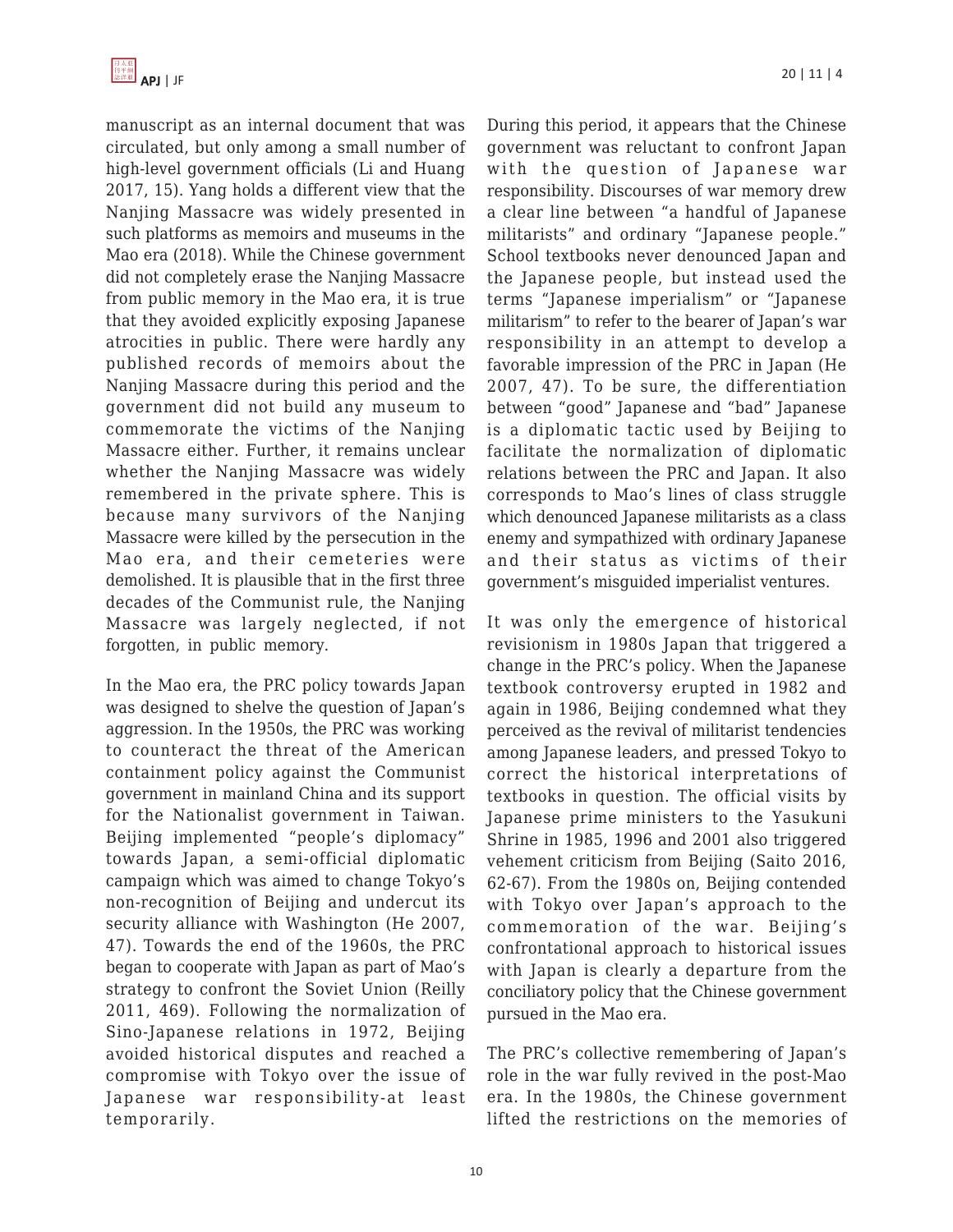manuscript as an internal document that was circulated, but only among a small number of high-level government officials (Li and Huang 2017, 15). Yang holds a different view that the Nanjing Massacre was widely presented in such platforms as memoirs and museums in the Mao era (2018). While the Chinese government did not completely erase the Nanjing Massacre from public memory in the Mao era, it is true that they avoided explicitly exposing Japanese atrocities in public. There were hardly any published records of memoirs about the Nanjing Massacre during this period and the government did not build any museum to commemorate the victims of the Nanjing Massacre either. Further, it remains unclear whether the Nanjing Massacre was widely remembered in the private sphere. This is because many survivors of the Nanjing Massacre were killed by the persecution in the Mao era, and their cemeteries were demolished. It is plausible that in the first three decades of the Communist rule, the Nanjing Massacre was largely neglected, if not forgotten, in public memory.

In the Mao era, the PRC policy towards Japan was designed to shelve the question of Japan's aggression. In the 1950s, the PRC was working to counteract the threat of the American containment policy against the Communist government in mainland China and its support for the Nationalist government in Taiwan. Beijing implemented "people's diplomacy" towards Japan, a semi-official diplomatic campaign which was aimed to change Tokyo's non-recognition of Beijing and undercut its security alliance with Washington (He 2007, 47). Towards the end of the 1960s, the PRC began to cooperate with Japan as part of Mao's strategy to confront the Soviet Union (Reilly 2011, 469). Following the normalization of Sino-Japanese relations in 1972, Beijing avoided historical disputes and reached a compromise with Tokyo over the issue of Japanese war responsibility-at least temporarily.

During this period, it appears that the Chinese government was reluctant to confront Japan with the question of Japanese war responsibility. Discourses of war memory drew a clear line between "a handful of Japanese militarists" and ordinary "Japanese people." School textbooks never denounced Japan and the Japanese people, but instead used the terms "Japanese imperialism" or "Japanese militarism" to refer to the bearer of Japan's war responsibility in an attempt to develop a favorable impression of the PRC in Japan (He 2007, 47). To be sure, the differentiation between "good" Japanese and "bad" Japanese is a diplomatic tactic used by Beijing to facilitate the normalization of diplomatic relations between the PRC and Japan. It also corresponds to Mao's lines of class struggle which denounced Japanese militarists as a class enemy and sympathized with ordinary Japanese and their status as victims of their government's misguided imperialist ventures.

It was only the emergence of historical revisionism in 1980s Japan that triggered a change in the PRC's policy. When the Japanese textbook controversy erupted in 1982 and again in 1986, Beijing condemned what they perceived as the revival of militarist tendencies among Japanese leaders, and pressed Tokyo to correct the historical interpretations of textbooks in question. The official visits by Japanese prime ministers to the Yasukuni Shrine in 1985, 1996 and 2001 also triggered vehement criticism from Beijing (Saito 2016, 62-67). From the 1980s on, Beijing contended with Tokyo over Japan's approach to the commemoration of the war. Beijing's confrontational approach to historical issues with Japan is clearly a departure from the conciliatory policy that the Chinese government pursued in the Mao era.

The PRC's collective remembering of Japan's role in the war fully revived in the post-Mao era. In the 1980s, the Chinese government lifted the restrictions on the memories of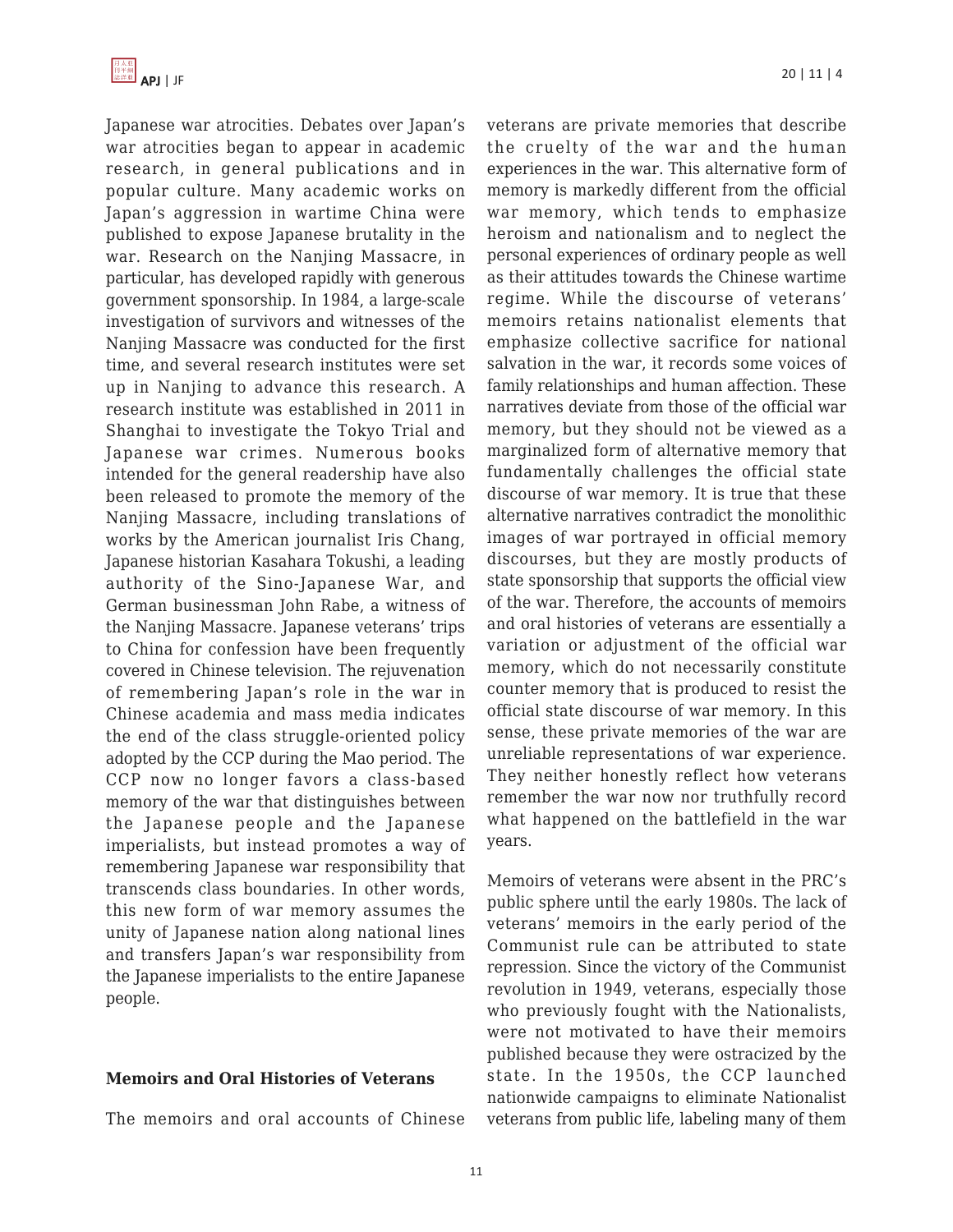Japanese war atrocities. Debates over Japan's war atrocities began to appear in academic research, in general publications and in popular culture. Many academic works on Japan's aggression in wartime China were published to expose Japanese brutality in the war. Research on the Nanjing Massacre, in particular, has developed rapidly with generous government sponsorship. In 1984, a large-scale investigation of survivors and witnesses of the Nanjing Massacre was conducted for the first time, and several research institutes were set up in Nanjing to advance this research. A research institute was established in 2011 in Shanghai to investigate the Tokyo Trial and Japanese war crimes. Numerous books intended for the general readership have also been released to promote the memory of the Nanjing Massacre, including translations of works by the American journalist Iris Chang, Japanese historian Kasahara Tokushi, a leading authority of the Sino-Japanese War, and German businessman John Rabe, a witness of the Nanjing Massacre. Japanese veterans' trips to China for confession have been frequently covered in Chinese television. The rejuvenation of remembering Japan's role in the war in Chinese academia and mass media indicates the end of the class struggle-oriented policy adopted by the CCP during the Mao period. The CCP now no longer favors a class-based memory of the war that distinguishes between the Japanese people and the Japanese imperialists, but instead promotes a way of remembering Japanese war responsibility that transcends class boundaries. In other words, this new form of war memory assumes the unity of Japanese nation along national lines and transfers Japan's war responsibility from the Japanese imperialists to the entire Japanese people.

#### **Memoirs and Oral Histories of Veterans**

The memoirs and oral accounts of Chinese

veterans are private memories that describe the cruelty of the war and the human experiences in the war. This alternative form of memory is markedly different from the official war memory, which tends to emphasize heroism and nationalism and to neglect the personal experiences of ordinary people as well as their attitudes towards the Chinese wartime regime. While the discourse of veterans' memoirs retains nationalist elements that emphasize collective sacrifice for national salvation in the war, it records some voices of family relationships and human affection. These narratives deviate from those of the official war memory, but they should not be viewed as a marginalized form of alternative memory that fundamentally challenges the official state discourse of war memory. It is true that these alternative narratives contradict the monolithic images of war portrayed in official memory discourses, but they are mostly products of state sponsorship that supports the official view of the war. Therefore, the accounts of memoirs and oral histories of veterans are essentially a variation or adjustment of the official war memory, which do not necessarily constitute counter memory that is produced to resist the official state discourse of war memory. In this sense, these private memories of the war are unreliable representations of war experience. They neither honestly reflect how veterans remember the war now nor truthfully record what happened on the battlefield in the war years.

Memoirs of veterans were absent in the PRC's public sphere until the early 1980s. The lack of veterans' memoirs in the early period of the Communist rule can be attributed to state repression. Since the victory of the Communist revolution in 1949, veterans, especially those who previously fought with the Nationalists, were not motivated to have their memoirs published because they were ostracized by the state. In the 1950s, the CCP launched nationwide campaigns to eliminate Nationalist veterans from public life, labeling many of them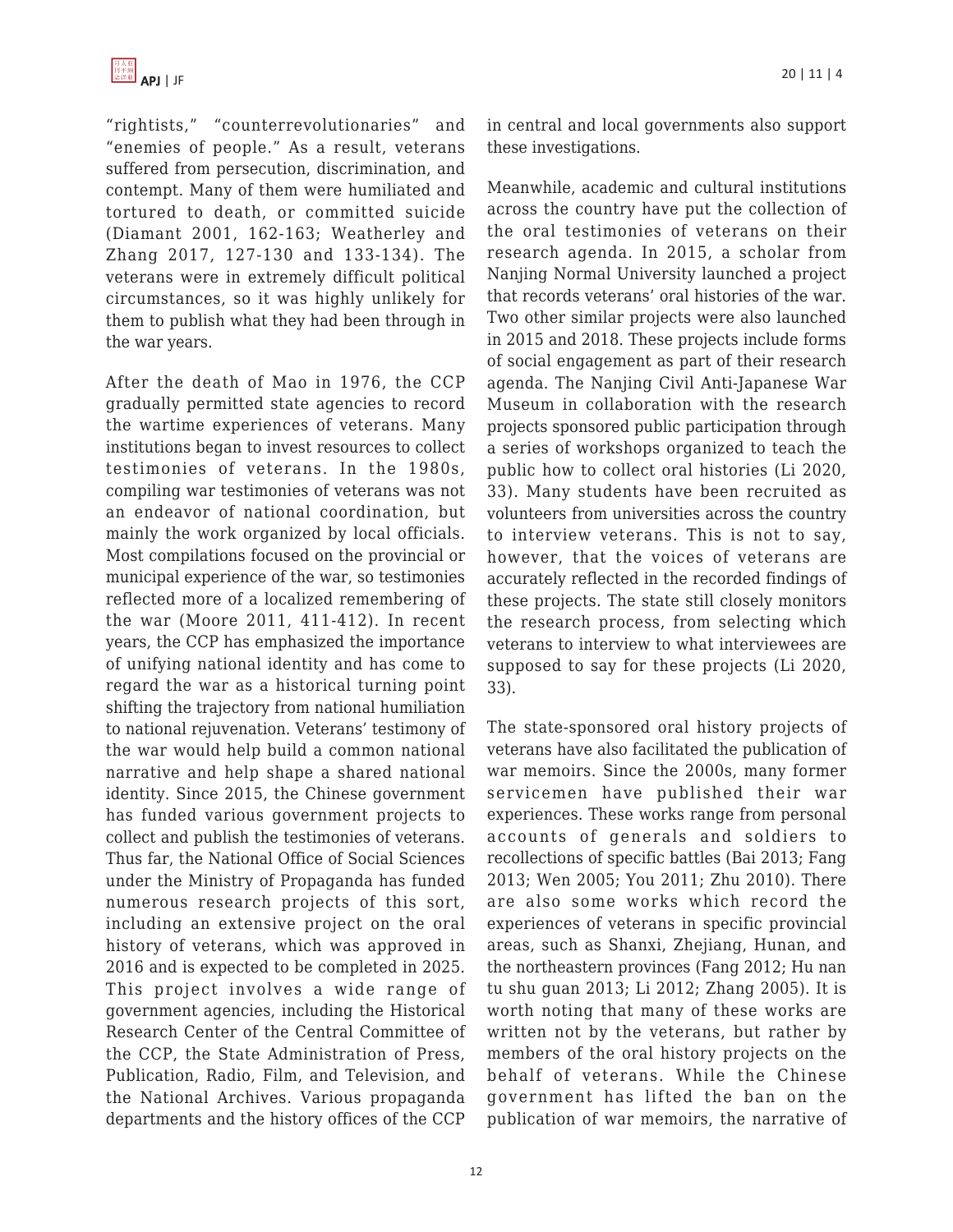

"rightists," "counterrevolutionaries" and "enemies of people." As a result, veterans suffered from persecution, discrimination, and contempt. Many of them were humiliated and tortured to death, or committed suicide (Diamant 2001, 162-163; Weatherley and Zhang 2017, 127-130 and 133-134). The veterans were in extremely difficult political circumstances, so it was highly unlikely for them to publish what they had been through in the war years.

After the death of Mao in 1976, the CCP gradually permitted state agencies to record the wartime experiences of veterans. Many institutions began to invest resources to collect testimonies of veterans. In the 1980s, compiling war testimonies of veterans was not an endeavor of national coordination, but mainly the work organized by local officials. Most compilations focused on the provincial or municipal experience of the war, so testimonies reflected more of a localized remembering of the war (Moore 2011, 411-412). In recent years, the CCP has emphasized the importance of unifying national identity and has come to regard the war as a historical turning point shifting the trajectory from national humiliation to national rejuvenation. Veterans' testimony of the war would help build a common national narrative and help shape a shared national identity. Since 2015, the Chinese government has funded various government projects to collect and publish the testimonies of veterans. Thus far, the National Office of Social Sciences under the Ministry of Propaganda has funded numerous research projects of this sort, including an extensive project on the oral history of veterans, which was approved in 2016 and is expected to be completed in 2025. This project involves a wide range of government agencies, including the Historical Research Center of the Central Committee of the CCP, the State Administration of Press, Publication, Radio, Film, and Television, and the National Archives. Various propaganda departments and the history offices of the CCP in central and local governments also support these investigations.

Meanwhile, academic and cultural institutions across the country have put the collection of the oral testimonies of veterans on their research agenda. In 2015, a scholar from Nanjing Normal University launched a project that records veterans' oral histories of the war. Two other similar projects were also launched in 2015 and 2018. These projects include forms of social engagement as part of their research agenda. The Nanjing Civil Anti-Japanese War Museum in collaboration with the research projects sponsored public participation through a series of workshops organized to teach the public how to collect oral histories (Li 2020, 33). Many students have been recruited as volunteers from universities across the country to interview veterans. This is not to say, however, that the voices of veterans are accurately reflected in the recorded findings of these projects. The state still closely monitors the research process, from selecting which veterans to interview to what interviewees are supposed to say for these projects (Li 2020, 33).

The state-sponsored oral history projects of veterans have also facilitated the publication of war memoirs. Since the 2000s, many former servicemen have published their war experiences. These works range from personal accounts of generals and soldiers to recollections of specific battles (Bai 2013; Fang 2013; Wen 2005; You 2011; Zhu 2010). There are also some works which record the experiences of veterans in specific provincial areas, such as Shanxi, Zhejiang, Hunan, and the northeastern provinces (Fang 2012; Hu nan tu shu guan 2013; Li 2012; Zhang 2005). It is worth noting that many of these works are written not by the veterans, but rather by members of the oral history projects on the behalf of veterans. While the Chinese government has lifted the ban on the publication of war memoirs, the narrative of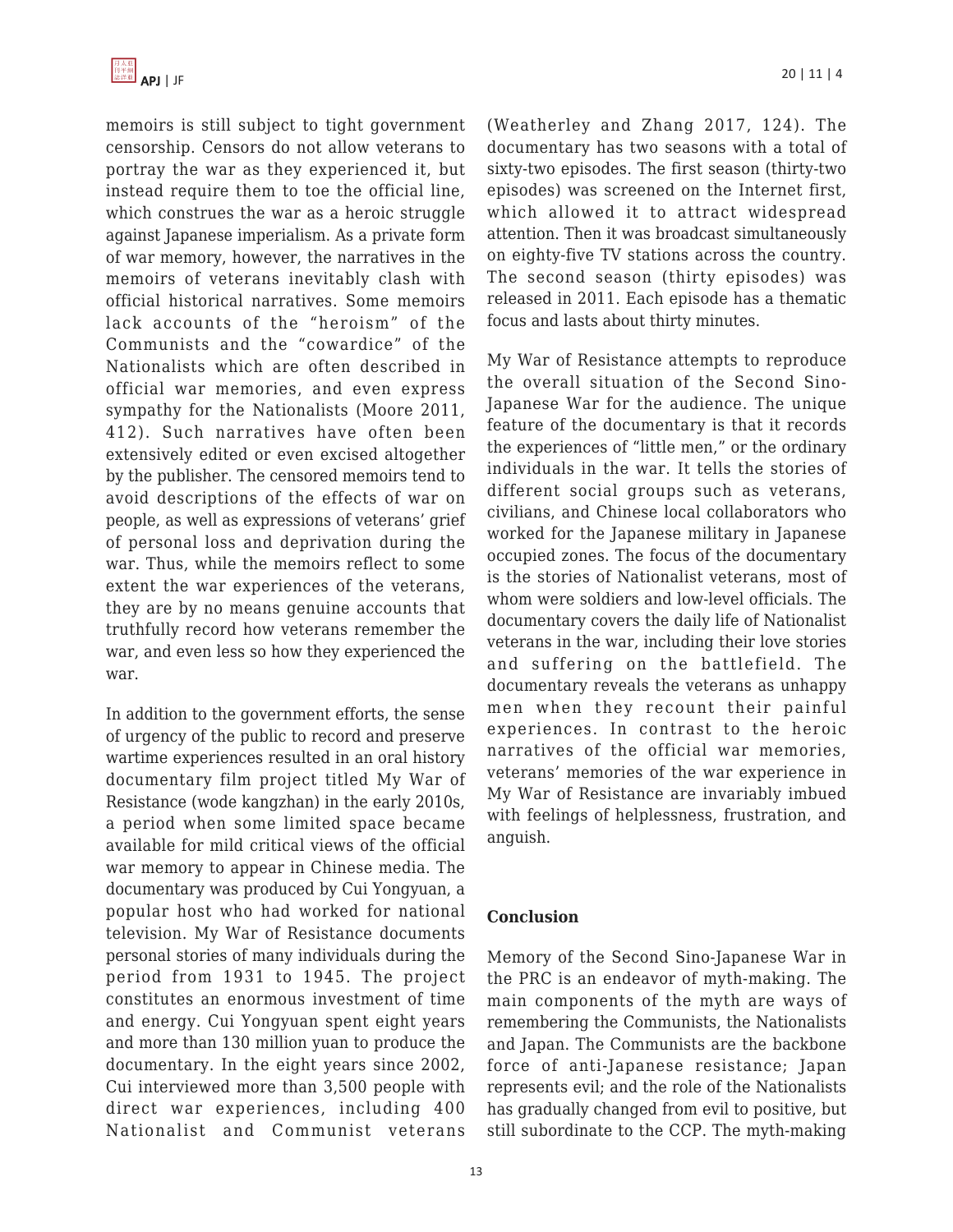

memoirs is still subject to tight government censorship. Censors do not allow veterans to portray the war as they experienced it, but instead require them to toe the official line, which construes the war as a heroic struggle against Japanese imperialism. As a private form of war memory, however, the narratives in the memoirs of veterans inevitably clash with official historical narratives. Some memoirs lack accounts of the "heroism" of the Communists and the "cowardice" of the Nationalists which are often described in official war memories, and even express sympathy for the Nationalists (Moore 2011, 412). Such narratives have often been extensively edited or even excised altogether by the publisher. The censored memoirs tend to avoid descriptions of the effects of war on people, as well as expressions of veterans' grief of personal loss and deprivation during the war. Thus, while the memoirs reflect to some extent the war experiences of the veterans, they are by no means genuine accounts that truthfully record how veterans remember the war, and even less so how they experienced the war.

In addition to the government efforts, the sense of urgency of the public to record and preserve wartime experiences resulted in an oral history documentary film project titled My War of Resistance (wode kangzhan) in the early 2010s, a period when some limited space became available for mild critical views of the official war memory to appear in Chinese media. The documentary was produced by Cui Yongyuan, a popular host who had worked for national television. My War of Resistance documents personal stories of many individuals during the period from 1931 to 1945. The project constitutes an enormous investment of time and energy. Cui Yongyuan spent eight years and more than 130 million yuan to produce the documentary. In the eight years since 2002, Cui interviewed more than 3,500 people with direct war experiences, including 400 Nationalist and Communist veterans (Weatherley and Zhang 2017, 124). The documentary has two seasons with a total of sixty-two episodes. The first season (thirty-two episodes) was screened on the Internet first, which allowed it to attract widespread attention. Then it was broadcast simultaneously on eighty-five TV stations across the country. The second season (thirty episodes) was released in 2011. Each episode has a thematic focus and lasts about thirty minutes.

My War of Resistance attempts to reproduce the overall situation of the Second Sino-Japanese War for the audience. The unique feature of the documentary is that it records the experiences of "little men," or the ordinary individuals in the war. It tells the stories of different social groups such as veterans, civilians, and Chinese local collaborators who worked for the Japanese military in Japanese occupied zones. The focus of the documentary is the stories of Nationalist veterans, most of whom were soldiers and low-level officials. The documentary covers the daily life of Nationalist veterans in the war, including their love stories and suffering on the battlefield. The documentary reveals the veterans as unhappy men when they recount their painful experiences. In contrast to the heroic narratives of the official war memories, veterans' memories of the war experience in My War of Resistance are invariably imbued with feelings of helplessness, frustration, and anguish.

#### **Conclusion**

Memory of the Second Sino-Japanese War in the PRC is an endeavor of myth-making. The main components of the myth are ways of remembering the Communists, the Nationalists and Japan. The Communists are the backbone force of anti-Japanese resistance; Japan represents evil; and the role of the Nationalists has gradually changed from evil to positive, but still subordinate to the CCP. The myth-making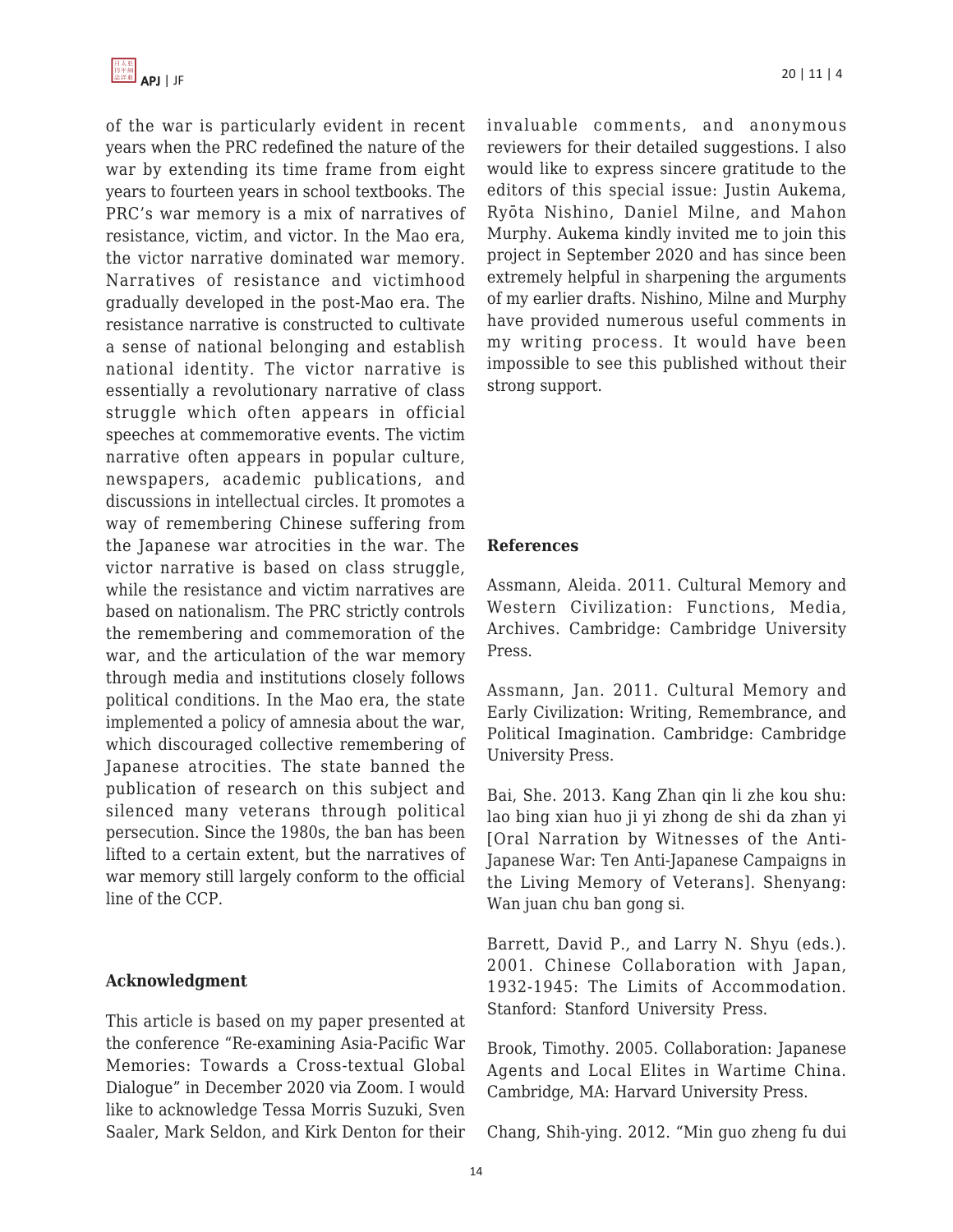of the war is particularly evident in recent years when the PRC redefined the nature of the war by extending its time frame from eight years to fourteen years in school textbooks. The PRC's war memory is a mix of narratives of resistance, victim, and victor. In the Mao era, the victor narrative dominated war memory. Narratives of resistance and victimhood gradually developed in the post-Mao era. The resistance narrative is constructed to cultivate a sense of national belonging and establish national identity. The victor narrative is essentially a revolutionary narrative of class struggle which often appears in official speeches at commemorative events. The victim narrative often appears in popular culture, newspapers, academic publications, and discussions in intellectual circles. It promotes a way of remembering Chinese suffering from the Japanese war atrocities in the war. The victor narrative is based on class struggle. while the resistance and victim narratives are based on nationalism. The PRC strictly controls the remembering and commemoration of the war, and the articulation of the war memory through media and institutions closely follows political conditions. In the Mao era, the state implemented a policy of amnesia about the war, which discouraged collective remembering of Japanese atrocities. The state banned the publication of research on this subject and silenced many veterans through political persecution. Since the 1980s, the ban has been lifted to a certain extent, but the narratives of war memory still largely conform to the official line of the CCP.

## **Acknowledgment**

This article is based on my paper presented at the conference "Re-examining Asia-Pacific War Memories: Towards a Cross-textual Global Dialogue" in December 2020 via Zoom. I would like to acknowledge Tessa Morris Suzuki, Sven Saaler, Mark Seldon, and Kirk Denton for their invaluable comments, and anonymous reviewers for their detailed suggestions. I also would like to express sincere gratitude to the editors of this special issue: Justin Aukema, Ryōta Nishino, Daniel Milne, and Mahon Murphy. Aukema kindly invited me to join this project in September 2020 and has since been extremely helpful in sharpening the arguments of my earlier drafts. Nishino, Milne and Murphy have provided numerous useful comments in my writing process. It would have been impossible to see this published without their strong support.

#### **References**

Assmann, Aleida. 2011. Cultural Memory and Western Civilization: Functions, Media, Archives. Cambridge: Cambridge University Press.

Assmann, Jan. 2011. Cultural Memory and Early Civilization: Writing, Remembrance, and Political Imagination. Cambridge: Cambridge University Press.

Bai, She. 2013. Kang Zhan qin li zhe kou shu: lao bing xian huo ji yi zhong de shi da zhan yi [Oral Narration by Witnesses of the Anti-Japanese War: Ten Anti-Japanese Campaigns in the Living Memory of Veterans]. Shenyang: Wan juan chu ban gong si.

Barrett, David P., and Larry N. Shyu (eds.). 2001. Chinese Collaboration with Japan, 1932-1945: The Limits of Accommodation. Stanford: Stanford University Press.

Brook, Timothy. 2005. Collaboration: Japanese Agents and Local Elites in Wartime China. Cambridge, MA: Harvard University Press.

Chang, Shih-ying. 2012. "Min guo zheng fu dui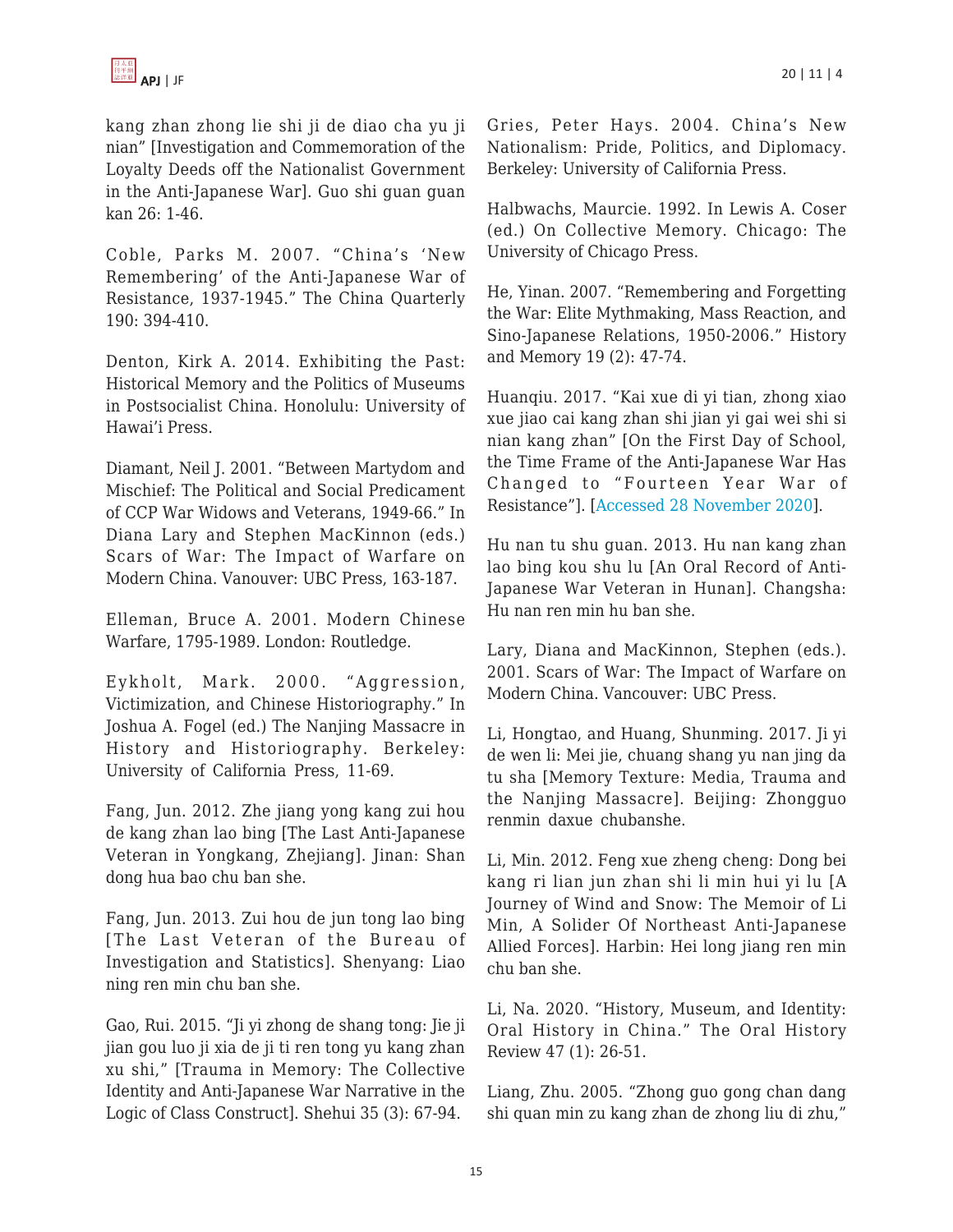kang zhan zhong lie shi ji de diao cha yu ji nian" [Investigation and Commemoration of the Loyalty Deeds off the Nationalist Government in the Anti-Japanese War]. Guo shi guan guan kan 26: 1-46.

Coble, Parks M. 2007. "China's 'New Remembering' of the Anti-Japanese War of Resistance, 1937-1945." The China Quarterly 190: 394-410.

Denton, Kirk A. 2014. Exhibiting the Past: Historical Memory and the Politics of Museums in Postsocialist China. Honolulu: University of Hawai'i Press.

Diamant, Neil J. 2001. "Between Martydom and Mischief: The Political and Social Predicament of CCP War Widows and Veterans, 1949-66." In Diana Lary and Stephen MacKinnon (eds.) Scars of War: The Impact of Warfare on Modern China. Vanouver: UBC Press, 163-187.

Elleman, Bruce A. 2001. Modern Chinese Warfare, 1795-1989. London: Routledge.

Eykholt, Mark. 2000. "Aggression, Victimization, and Chinese Historiography." In Joshua A. Fogel (ed.) The Nanjing Massacre in History and Historiography. Berkeley: University of California Press, 11-69.

Fang, Jun. 2012. Zhe jiang yong kang zui hou de kang zhan lao bing [The Last Anti-Japanese Veteran in Yongkang, Zhejiang]. Jinan: Shan dong hua bao chu ban she.

Fang, Jun. 2013. Zui hou de jun tong lao bing [The Last Veteran of the Bureau of Investigation and Statistics]. Shenyang: Liao ning ren min chu ban she.

Gao, Rui. 2015. "Ji yi zhong de shang tong: Jie ji jian gou luo ji xia de ji ti ren tong yu kang zhan xu shi," [Trauma in Memory: The Collective Identity and Anti-Japanese War Narrative in the Logic of Class Construct]. Shehui 35 (3): 67-94.

Gries, Peter Hays. 2004. China's New Nationalism: Pride, Politics, and Diplomacy. Berkeley: University of California Press.

Halbwachs, Maurcie. 1992. In Lewis A. Coser (ed.) On Collective Memory. Chicago: The University of Chicago Press.

He, Yinan. 2007. "Remembering and Forgetting the War: Elite Mythmaking, Mass Reaction, and Sino-Japanese Relations, 1950-2006." History and Memory 19 (2): 47-74.

Huanqiu. 2017. "Kai xue di yi tian, zhong xiao xue jiao cai kang zhan shi jian yi gai wei shi si nian kang zhan" [On the First Day of School, the Time Frame of the Anti-Japanese War Has Changed to "Fourteen Year War of Resistance"]. [\[Accessed 28 November 2020](https://china.huanqiu.com/article/9CaKrnK0Fzk)].

Hu nan tu shu guan. 2013. Hu nan kang zhan lao bing kou shu lu [An Oral Record of Anti-Japanese War Veteran in Hunan]. Changsha: Hu nan ren min hu ban she.

Lary, Diana and MacKinnon, Stephen (eds.). 2001. Scars of War: The Impact of Warfare on Modern China. Vancouver: UBC Press.

Li, Hongtao, and Huang, Shunming. 2017. Ji yi de wen li: Mei jie, chuang shang yu nan jing da tu sha [Memory Texture: Media, Trauma and the Nanjing Massacre]. Beijing: Zhongguo renmin daxue chubanshe.

Li, Min. 2012. Feng xue zheng cheng: Dong bei kang ri lian jun zhan shi li min hui yi lu [A Journey of Wind and Snow: The Memoir of Li Min, A Solider Of Northeast Anti-Japanese Allied Forces]. Harbin: Hei long jiang ren min chu ban she.

Li, Na. 2020. "History, Museum, and Identity: Oral History in China." The Oral History Review 47 (1): 26-51.

Liang, Zhu. 2005. "Zhong guo gong chan dang shi quan min zu kang zhan de zhong liu di zhu,"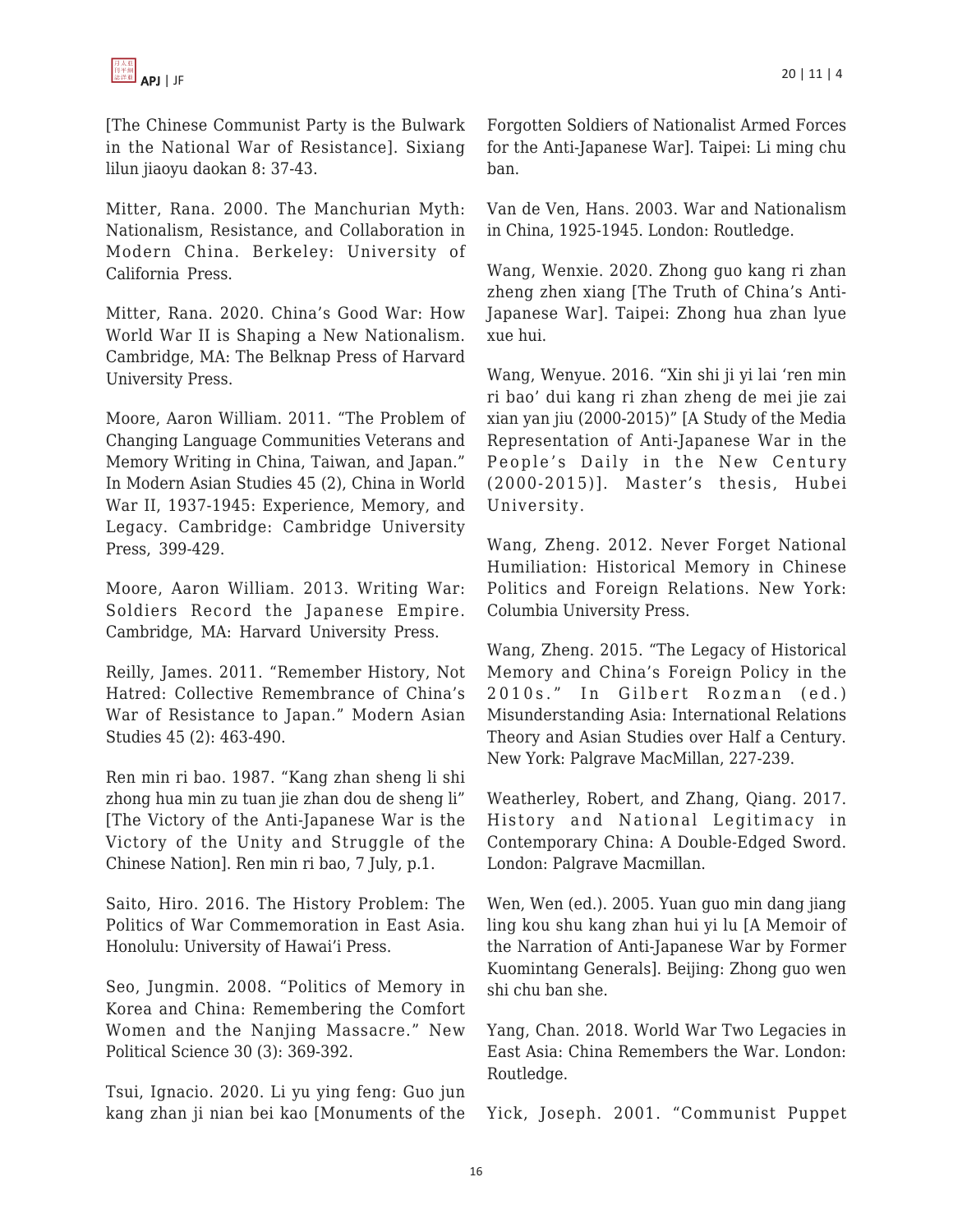[The Chinese Communist Party is the Bulwark in the National War of Resistance]. Sixiang lilun jiaoyu daokan 8: 37-43.

Mitter, Rana. 2000. The Manchurian Myth: Nationalism, Resistance, and Collaboration in Modern China. Berkeley: University of California Press.

Mitter, Rana. 2020. China's Good War: How World War II is Shaping a New Nationalism. Cambridge, MA: The Belknap Press of Harvard University Press.

Moore, Aaron William. 2011. "The Problem of Changing Language Communities Veterans and Memory Writing in China, Taiwan, and Japan." In Modern Asian Studies 45 (2), China in World War II, 1937-1945: Experience, Memory, and Legacy. Cambridge: Cambridge University Press, 399-429.

Moore, Aaron William. 2013. Writing War: Soldiers Record the Japanese Empire. Cambridge, MA: Harvard University Press.

Reilly, James. 2011. "Remember History, Not Hatred: Collective Remembrance of China's War of Resistance to Japan." Modern Asian Studies 45 (2): 463-490.

Ren min ri bao. 1987. "Kang zhan sheng li shi zhong hua min zu tuan jie zhan dou de sheng li" [The Victory of the Anti-Japanese War is the Victory of the Unity and Struggle of the Chinese Nation]. Ren min ri bao, 7 July, p.1.

Saito, Hiro. 2016. The History Problem: The Politics of War Commemoration in East Asia. Honolulu: University of Hawai'i Press.

Seo, Jungmin. 2008. "Politics of Memory in Korea and China: Remembering the Comfort Women and the Nanjing Massacre." New Political Science 30 (3): 369-392.

Tsui, Ignacio. 2020. Li yu ying feng: Guo jun kang zhan ji nian bei kao [Monuments of the Forgotten Soldiers of Nationalist Armed Forces for the Anti-Japanese War]. Taipei: Li ming chu ban.

Van de Ven, Hans. 2003. War and Nationalism in China, 1925-1945. London: Routledge.

Wang, Wenxie. 2020. Zhong guo kang ri zhan zheng zhen xiang [The Truth of China's Anti-Japanese War]. Taipei: Zhong hua zhan lyue xue hui.

Wang, Wenyue. 2016. "Xin shi ji yi lai 'ren min ri bao' dui kang ri zhan zheng de mei jie zai xian yan jiu (2000-2015)" [A Study of the Media Representation of Anti-Japanese War in the People's Daily in the New Century (2000-2015)]. Master's thesis, Hubei University.

Wang, Zheng. 2012. Never Forget National Humiliation: Historical Memory in Chinese Politics and Foreign Relations. New York: Columbia University Press.

Wang, Zheng. 2015. "The Legacy of Historical Memory and China's Foreign Policy in the 2010s." In Gilbert Rozman (ed.) Misunderstanding Asia: International Relations Theory and Asian Studies over Half a Century. New York: Palgrave MacMillan, 227-239.

Weatherley, Robert, and Zhang, Qiang. 2017. History and National Legitimacy in Contemporary China: A Double-Edged Sword. London: Palgrave Macmillan.

Wen, Wen (ed.). 2005. Yuan guo min dang jiang ling kou shu kang zhan hui yi lu [A Memoir of the Narration of Anti-Japanese War by Former Kuomintang Generals]. Beijing: Zhong guo wen shi chu ban she.

Yang, Chan. 2018. World War Two Legacies in East Asia: China Remembers the War. London: Routledge.

Yick, Joseph. 2001. "Communist Puppet